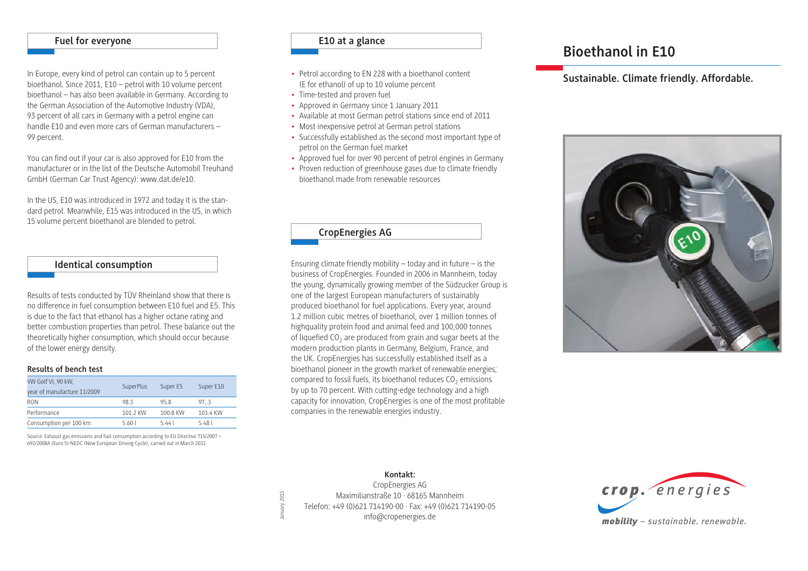#### **Fuel for everyone**

In Europe, every kind of petrol can contain up to 5 percent bioethanol. Since 2011, E10 – petrol with 10 volume percent bioethanol – has also been available in Germany. According to the German Association of the Automotive Industry (VDA), 93 percent of all cars in Germany with a petrol engine can handle E10 and even more cars of German manufacturers – 99 percent.

You can find out if your car is also approved for E10 from the manufacturer or in the list of the Deutsche Automobil Treuhand GmbH (German Car Trust Agency): www.dat.de/e10.

In the US, E10 was introduced in 1972 and today it is the standard petrol. Meanwhile, E15 was introduced in the US, in which 15 volume percent bioethanol are blended to petrol.

#### **Identical consumption**

Results of tests conducted by TÜV Rheinland show that there is no difference in fuel consumption between E10 fuel and E5. This is due to the fact that ethanol has a higher octane rating and better combustion properties than petrol. These balance out the theoretically higher consumption, which should occur because of the lower energy density.

#### **Results of bench test**

| VW Golf VI, 90 kW,<br>year of manufacture 11/2009 | SuperPlus | Super E5 | Super E10 |
|---------------------------------------------------|-----------|----------|-----------|
| <b>RON</b>                                        | 983       | 95.8     | 97.3      |
| Performance                                       | 101 2 KW  | 100.8 KW | 103.4 KW  |
| Consumption per 100 km                            | 5.60l     | $5.44$   | 5.481     |

Source: Exhaust gas emissions and fuel consumption according to EU Directive 715/2007 – 692/2008A (Euro 5)-NEDC (New European Driving Cycle), carried out in March 2011

#### **E10 at a glance**

- Petrol according to EN 228 with a bioethanol content (E for ethanol) of up to 10 volume percent
- Time-tested and proven fuel
- Approved in Germany since 1 January 2011
- Available at most German petrol stations since end of 2011
- Most inexpensive petrol at German petrol stations
- Successfully established as the second most important type of petrol on the German fuel market
- Approved fuel for over 90 percent of petrol engines in Germany
- Proven reduction of greenhouse gases due to climate friendly bioethanol made from renewable resources

#### **CropEnergies AG**

Ensuring climate friendly mobility  $-$  today and in future  $-$  is the business of CropEnergies. Founded in 2006 in Mannheim, today the young, dynamically growing member of the Südzucker Group is one of the largest European manufacturers of sustainably produced bioethanol for fuel applications. Every year, around 1.2 million cubic metres of bioethanol, over 1 million tonnes of highquality protein food and animal feed and 100,000 tonnes of liquefied  $CO<sub>2</sub>$  are produced from grain and sugar beets at the modern production plants in Germany, Belgium, France, and the UK. CropEnergies has successfully established itself as a bioethanol pioneer in the growth market of renewable energies; compared to fossil fuels, its bioethanol reduces  $CO<sub>2</sub>$  emissions by up to 70 percent. With cutting-edge technology and a high capacity for innovation, CropEnergies is one of the most profitable companies in the renewable energies industry.

## **Bioethanol in E10**

#### **Sustainable. Climate friendly. Affordable.**



#### **Kontakt:** CropEnergies AG Maximilianstraße 10 · 68165 Mannheim anuary  $2015$ January 2015 Telefon: +49 (0)621 714190-00 · Fax: +49 (0)621 714190-05 info@cropenergies.de